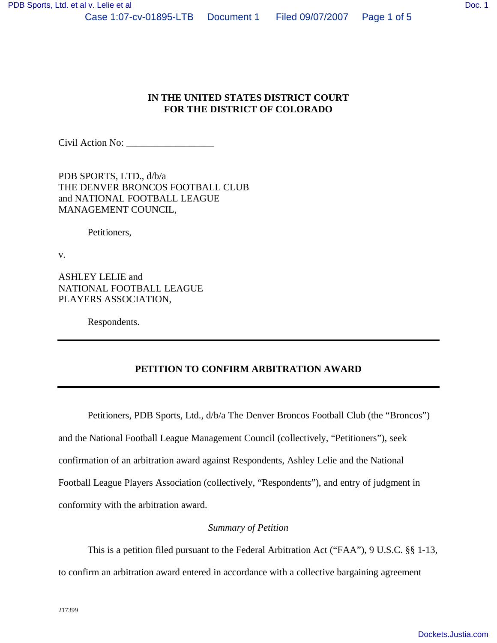Civil Action No:

PDB SPORTS, LTD., d/b/a THE DENVER BRONCOS FOOTBALL CLUB and NATIONAL FOOTBALL LEAGUE MANAGEMENT COUNCIL,

Petitioners,

v.

ASHLEY LELIE and NATIONAL FOOTBALL LEAGUE PLAYERS ASSOCIATION,

Respondents.

## **PETITION TO CONFIRM ARBITRATION AWARD**

Petitioners, PDB Sports, Ltd., d/b/a The Denver Broncos Football Club (the "Broncos") and the National Football League Management Council (collectively, "Petitioners"), seek confirmation of an arbitration award against Respondents, Ashley Lelie and the National Football League Players Association (collectively, "Respondents"), and entry of judgment in conformity with the arbitration award.

## *Summary of Petition*

This is a petition filed pursuant to the Federal Arbitration Act ("FAA"), 9 U.S.C. §§ 1-13,

to confirm an arbitration award entered in accordance with a collective bargaining agreement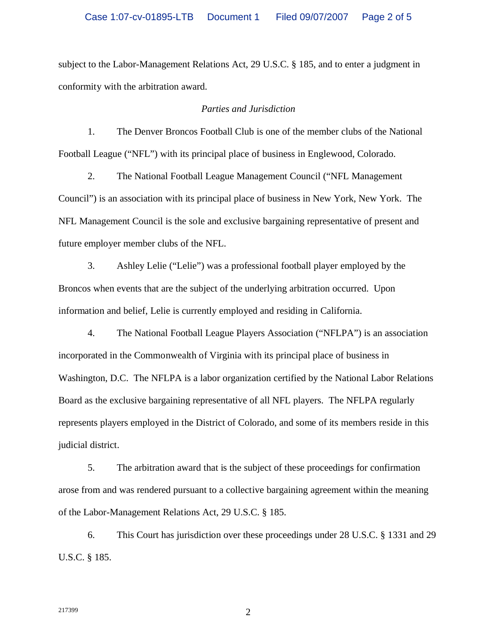subject to the Labor-Management Relations Act, 29 U.S.C. § 185, and to enter a judgment in conformity with the arbitration award.

## *Parties and Jurisdiction*

1. The Denver Broncos Football Club is one of the member clubs of the National Football League ("NFL") with its principal place of business in Englewood, Colorado.

2. The National Football League Management Council ("NFL Management Council") is an association with its principal place of business in New York, New York. The NFL Management Council is the sole and exclusive bargaining representative of present and future employer member clubs of the NFL.

3. Ashley Lelie ("Lelie") was a professional football player employed by the Broncos when events that are the subject of the underlying arbitration occurred. Upon information and belief, Lelie is currently employed and residing in California.

4. The National Football League Players Association ("NFLPA") is an association incorporated in the Commonwealth of Virginia with its principal place of business in Washington, D.C. The NFLPA is a labor organization certified by the National Labor Relations Board as the exclusive bargaining representative of all NFL players. The NFLPA regularly represents players employed in the District of Colorado, and some of its members reside in this judicial district.

5. The arbitration award that is the subject of these proceedings for confirmation arose from and was rendered pursuant to a collective bargaining agreement within the meaning of the Labor-Management Relations Act, 29 U.S.C. § 185.

6. This Court has jurisdiction over these proceedings under 28 U.S.C. § 1331 and 29 U.S.C. § 185.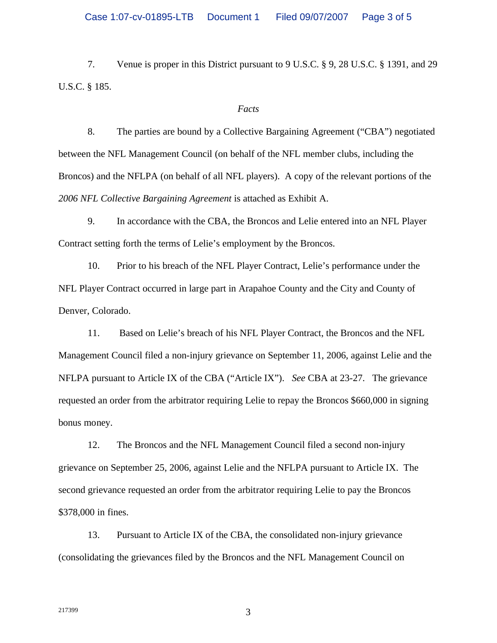7. Venue is proper in this District pursuant to 9 U.S.C. § 9, 28 U.S.C. § 1391, and 29 U.S.C. § 185.

## *Facts*

8. The parties are bound by a Collective Bargaining Agreement ("CBA") negotiated between the NFL Management Council (on behalf of the NFL member clubs, including the Broncos) and the NFLPA (on behalf of all NFL players). A copy of the relevant portions of the *2006 NFL Collective Bargaining Agreement* is attached as Exhibit A.

9. In accordance with the CBA, the Broncos and Lelie entered into an NFL Player Contract setting forth the terms of Lelie's employment by the Broncos.

10. Prior to his breach of the NFL Player Contract, Lelie's performance under the NFL Player Contract occurred in large part in Arapahoe County and the City and County of Denver, Colorado.

11. Based on Lelie's breach of his NFL Player Contract, the Broncos and the NFL Management Council filed a non-injury grievance on September 11, 2006, against Lelie and the NFLPA pursuant to Article IX of the CBA ("Article IX"). *See* CBA at 23-27. The grievance requested an order from the arbitrator requiring Lelie to repay the Broncos \$660,000 in signing bonus money.

12. The Broncos and the NFL Management Council filed a second non-injury grievance on September 25, 2006, against Lelie and the NFLPA pursuant to Article IX. The second grievance requested an order from the arbitrator requiring Lelie to pay the Broncos \$378,000 in fines.

13. Pursuant to Article IX of the CBA, the consolidated non-injury grievance (consolidating the grievances filed by the Broncos and the NFL Management Council on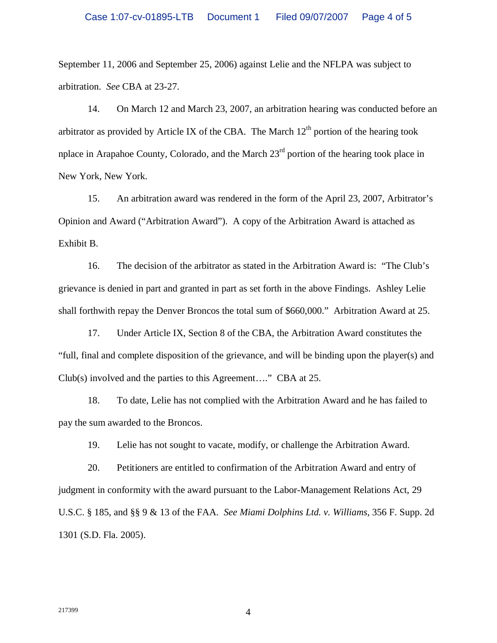September 11, 2006 and September 25, 2006) against Lelie and the NFLPA was subject to arbitration. *See* CBA at 23-27.

14. On March 12 and March 23, 2007, an arbitration hearing was conducted before an arbitrator as provided by Article IX of the CBA. The March  $12<sup>th</sup>$  portion of the hearing took nplace in Arapahoe County, Colorado, and the March  $23<sup>rd</sup>$  portion of the hearing took place in New York, New York.

15. An arbitration award was rendered in the form of the April 23, 2007, Arbitrator's Opinion and Award ("Arbitration Award"). A copy of the Arbitration Award is attached as Exhibit B.

16. The decision of the arbitrator as stated in the Arbitration Award is: "The Club's grievance is denied in part and granted in part as set forth in the above Findings. Ashley Lelie shall forthwith repay the Denver Broncos the total sum of \$660,000." Arbitration Award at 25.

17. Under Article IX, Section 8 of the CBA, the Arbitration Award constitutes the "full, final and complete disposition of the grievance, and will be binding upon the player(s) and Club(s) involved and the parties to this Agreement…." CBA at 25.

18. To date, Lelie has not complied with the Arbitration Award and he has failed to pay the sum awarded to the Broncos.

19. Lelie has not sought to vacate, modify, or challenge the Arbitration Award.

20. Petitioners are entitled to confirmation of the Arbitration Award and entry of judgment in conformity with the award pursuant to the Labor-Management Relations Act, 29 U.S.C. § 185, and §§ 9 & 13 of the FAA. *See Miami Dolphins Ltd. v. Williams*, 356 F. Supp. 2d 1301 (S.D. Fla. 2005).